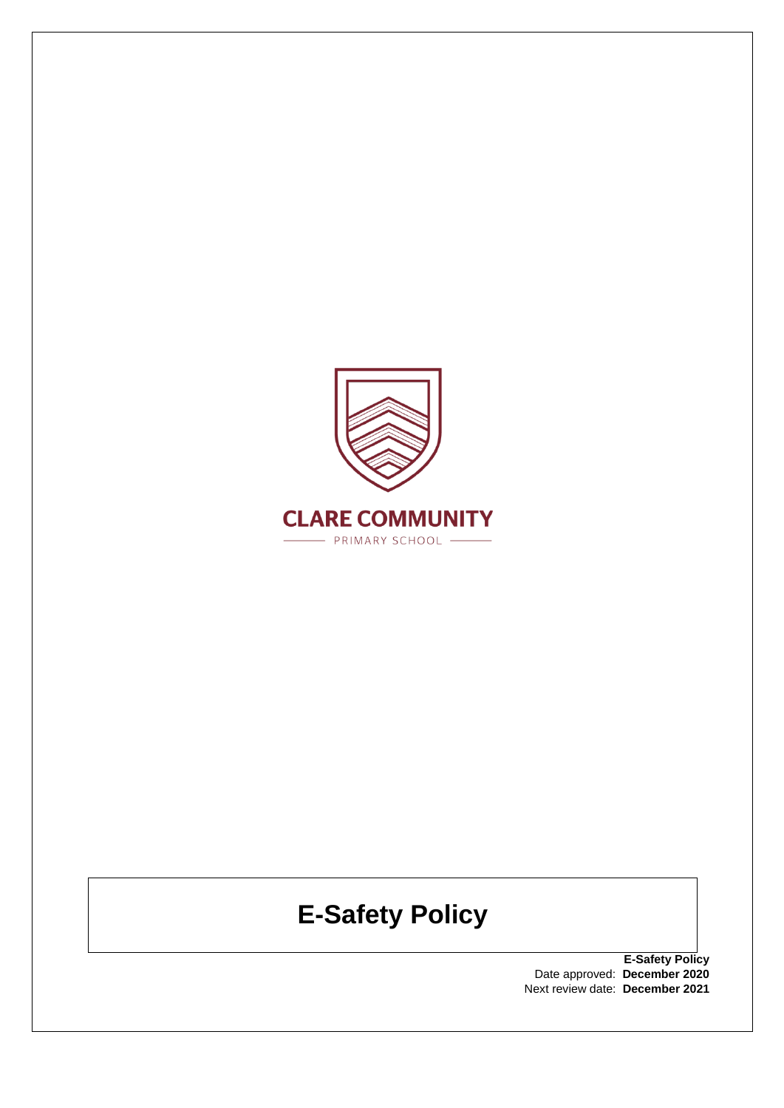

# **E-Safety Policy**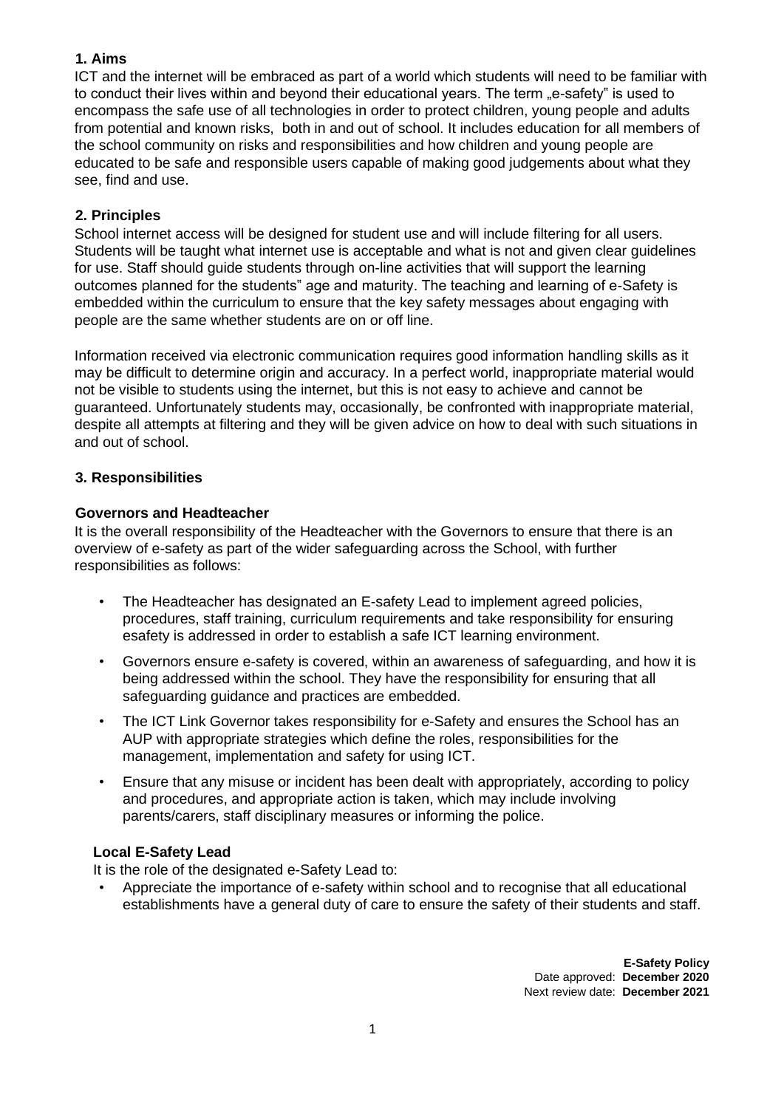#### **1. Aims**

ICT and the internet will be embraced as part of a world which students will need to be familiar with to conduct their lives within and beyond their educational years. The term "e-safety" is used to encompass the safe use of all technologies in order to protect children, young people and adults from potential and known risks, both in and out of school. It includes education for all members of the school community on risks and responsibilities and how children and young people are educated to be safe and responsible users capable of making good judgements about what they see, find and use.

#### **2. Principles**

School internet access will be designed for student use and will include filtering for all users. Students will be taught what internet use is acceptable and what is not and given clear guidelines for use. Staff should guide students through on-line activities that will support the learning outcomes planned for the students" age and maturity. The teaching and learning of e-Safety is embedded within the curriculum to ensure that the key safety messages about engaging with people are the same whether students are on or off line.

Information received via electronic communication requires good information handling skills as it may be difficult to determine origin and accuracy. In a perfect world, inappropriate material would not be visible to students using the internet, but this is not easy to achieve and cannot be guaranteed. Unfortunately students may, occasionally, be confronted with inappropriate material, despite all attempts at filtering and they will be given advice on how to deal with such situations in and out of school.

#### **3. Responsibilities**

#### **Governors and Headteacher**

It is the overall responsibility of the Headteacher with the Governors to ensure that there is an overview of e-safety as part of the wider safeguarding across the School, with further responsibilities as follows:

- The Headteacher has designated an E-safety Lead to implement agreed policies, procedures, staff training, curriculum requirements and take responsibility for ensuring esafety is addressed in order to establish a safe ICT learning environment.
- Governors ensure e-safety is covered, within an awareness of safeguarding, and how it is being addressed within the school. They have the responsibility for ensuring that all safeguarding guidance and practices are embedded.
- The ICT Link Governor takes responsibility for e-Safety and ensures the School has an AUP with appropriate strategies which define the roles, responsibilities for the management, implementation and safety for using ICT.
- Ensure that any misuse or incident has been dealt with appropriately, according to policy and procedures, and appropriate action is taken, which may include involving parents/carers, staff disciplinary measures or informing the police.

## **Local E-Safety Lead**

It is the role of the designated e-Safety Lead to:

• Appreciate the importance of e-safety within school and to recognise that all educational establishments have a general duty of care to ensure the safety of their students and staff.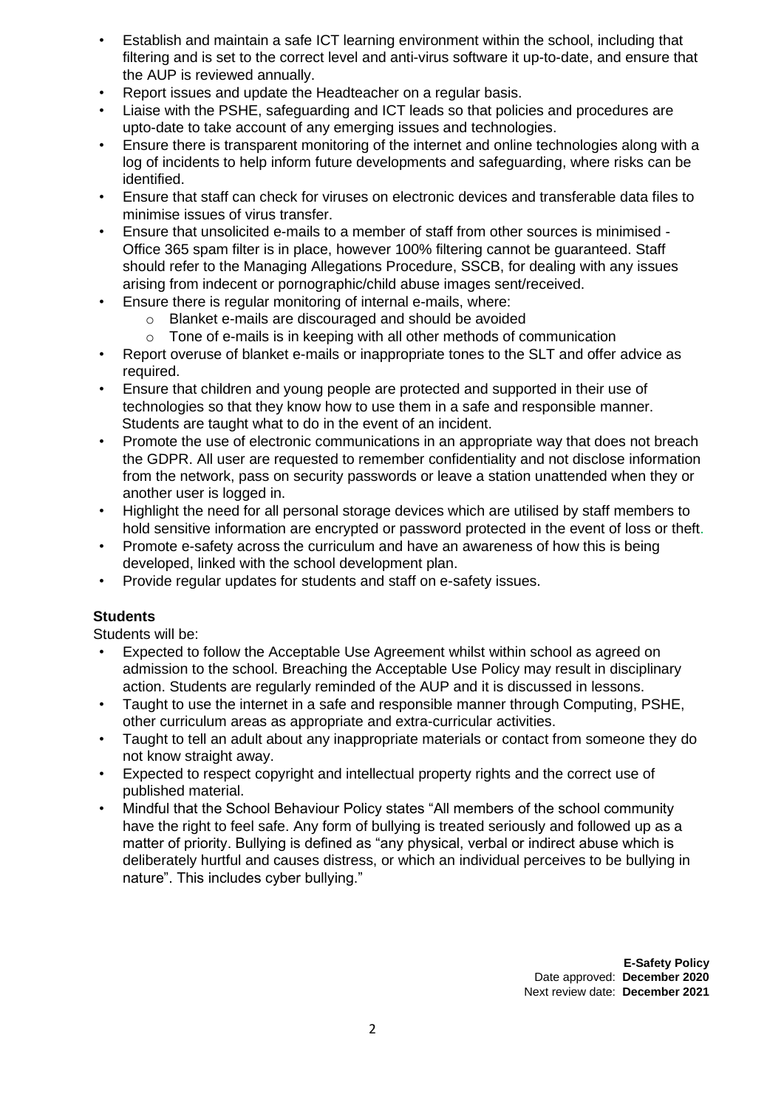- Establish and maintain a safe ICT learning environment within the school, including that filtering and is set to the correct level and anti-virus software it up-to-date, and ensure that the AUP is reviewed annually.
- Report issues and update the Headteacher on a regular basis.
- Liaise with the PSHE, safeguarding and ICT leads so that policies and procedures are upto-date to take account of any emerging issues and technologies.
- Ensure there is transparent monitoring of the internet and online technologies along with a log of incidents to help inform future developments and safeguarding, where risks can be identified.
- Ensure that staff can check for viruses on electronic devices and transferable data files to minimise issues of virus transfer.
- Ensure that unsolicited e-mails to a member of staff from other sources is minimised Office 365 spam filter is in place, however 100% filtering cannot be guaranteed. Staff should refer to the Managing Allegations Procedure, SSCB, for dealing with any issues arising from indecent or pornographic/child abuse images sent/received.
- Ensure there is regular monitoring of internal e-mails, where:
	- o Blanket e-mails are discouraged and should be avoided
	- $\circ$  Tone of e-mails is in keeping with all other methods of communication
- Report overuse of blanket e-mails or inappropriate tones to the SLT and offer advice as required.
- Ensure that children and young people are protected and supported in their use of technologies so that they know how to use them in a safe and responsible manner. Students are taught what to do in the event of an incident.
- Promote the use of electronic communications in an appropriate way that does not breach the GDPR. All user are requested to remember confidentiality and not disclose information from the network, pass on security passwords or leave a station unattended when they or another user is logged in.
- Highlight the need for all personal storage devices which are utilised by staff members to hold sensitive information are encrypted or password protected in the event of loss or theft.
- Promote e-safety across the curriculum and have an awareness of how this is being developed, linked with the school development plan.
- Provide regular updates for students and staff on e-safety issues.

## **Students**

Students will be:

- Expected to follow the Acceptable Use Agreement whilst within school as agreed on admission to the school. Breaching the Acceptable Use Policy may result in disciplinary action. Students are regularly reminded of the AUP and it is discussed in lessons.
- Taught to use the internet in a safe and responsible manner through Computing, PSHE, other curriculum areas as appropriate and extra-curricular activities.
- Taught to tell an adult about any inappropriate materials or contact from someone they do not know straight away.
- Expected to respect copyright and intellectual property rights and the correct use of published material.
- Mindful that the School Behaviour Policy states "All members of the school community have the right to feel safe. Any form of bullying is treated seriously and followed up as a matter of priority. Bullying is defined as "any physical, verbal or indirect abuse which is deliberately hurtful and causes distress, or which an individual perceives to be bullying in nature". This includes cyber bullying."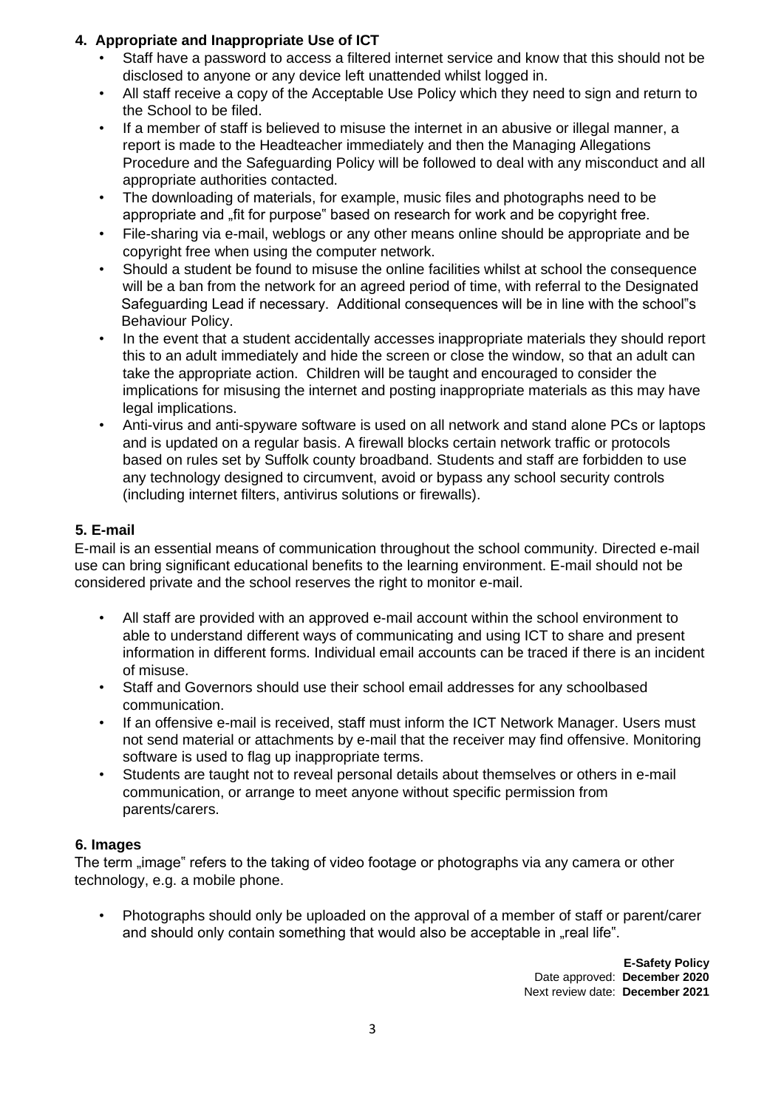# **4. Appropriate and Inappropriate Use of ICT**

- Staff have a password to access a filtered internet service and know that this should not be disclosed to anyone or any device left unattended whilst logged in.
- All staff receive a copy of the Acceptable Use Policy which they need to sign and return to the School to be filed.
- If a member of staff is believed to misuse the internet in an abusive or illegal manner, a report is made to the Headteacher immediately and then the Managing Allegations Procedure and the Safeguarding Policy will be followed to deal with any misconduct and all appropriate authorities contacted.
- The downloading of materials, for example, music files and photographs need to be appropriate and .fit for purpose" based on research for work and be copyright free.
- File-sharing via e-mail, weblogs or any other means online should be appropriate and be copyright free when using the computer network.
- Should a student be found to misuse the online facilities whilst at school the consequence will be a ban from the network for an agreed period of time, with referral to the Designated Safeguarding Lead if necessary. Additional consequences will be in line with the school"s Behaviour Policy.
- In the event that a student accidentally accesses inappropriate materials they should report this to an adult immediately and hide the screen or close the window, so that an adult can take the appropriate action. Children will be taught and encouraged to consider the implications for misusing the internet and posting inappropriate materials as this may have legal implications.
- Anti-virus and anti-spyware software is used on all network and stand alone PCs or laptops and is updated on a regular basis. A firewall blocks certain network traffic or protocols based on rules set by Suffolk county broadband. Students and staff are forbidden to use any technology designed to circumvent, avoid or bypass any school security controls (including internet filters, antivirus solutions or firewalls).

# **5. E-mail**

E-mail is an essential means of communication throughout the school community. Directed e-mail use can bring significant educational benefits to the learning environment. E-mail should not be considered private and the school reserves the right to monitor e-mail.

- All staff are provided with an approved e-mail account within the school environment to able to understand different ways of communicating and using ICT to share and present information in different forms. Individual email accounts can be traced if there is an incident of misuse.
- Staff and Governors should use their school email addresses for any schoolbased communication.
- If an offensive e-mail is received, staff must inform the ICT Network Manager. Users must not send material or attachments by e-mail that the receiver may find offensive. Monitoring software is used to flag up inappropriate terms.
- Students are taught not to reveal personal details about themselves or others in e-mail communication, or arrange to meet anyone without specific permission from parents/carers.

## **6. Images**

The term "image" refers to the taking of video footage or photographs via any camera or other technology, e.g. a mobile phone.

• Photographs should only be uploaded on the approval of a member of staff or parent/carer and should only contain something that would also be acceptable in "real life".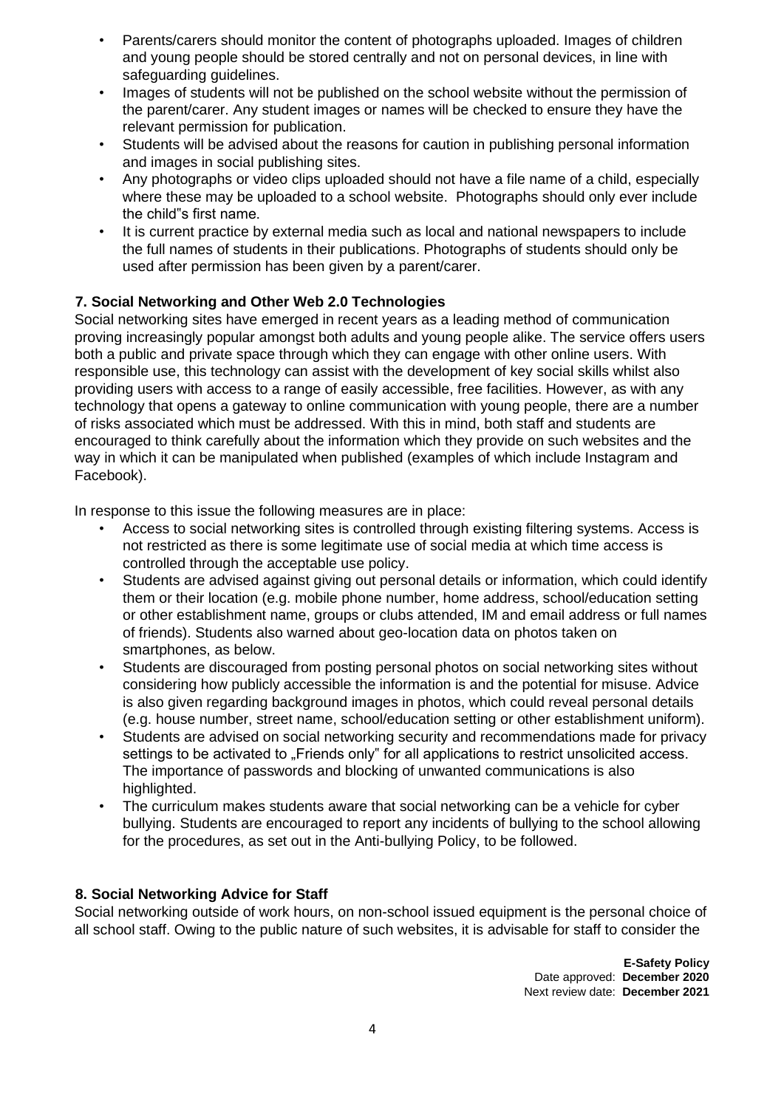- Parents/carers should monitor the content of photographs uploaded. Images of children and young people should be stored centrally and not on personal devices, in line with safeguarding guidelines.
- Images of students will not be published on the school website without the permission of the parent/carer. Any student images or names will be checked to ensure they have the relevant permission for publication.
- Students will be advised about the reasons for caution in publishing personal information and images in social publishing sites.
- Any photographs or video clips uploaded should not have a file name of a child, especially where these may be uploaded to a school website.Photographs should only ever include the child"s first name.
- It is current practice by external media such as local and national newspapers to include the full names of students in their publications. Photographs of students should only be used after permission has been given by a parent/carer.

# **7. Social Networking and Other Web 2.0 Technologies**

Social networking sites have emerged in recent years as a leading method of communication proving increasingly popular amongst both adults and young people alike. The service offers users both a public and private space through which they can engage with other online users. With responsible use, this technology can assist with the development of key social skills whilst also providing users with access to a range of easily accessible, free facilities. However, as with any technology that opens a gateway to online communication with young people, there are a number of risks associated which must be addressed. With this in mind, both staff and students are encouraged to think carefully about the information which they provide on such websites and the way in which it can be manipulated when published (examples of which include Instagram and Facebook).

In response to this issue the following measures are in place:

- Access to social networking sites is controlled through existing filtering systems. Access is not restricted as there is some legitimate use of social media at which time access is controlled through the acceptable use policy.
- Students are advised against giving out personal details or information, which could identify them or their location (e.g. mobile phone number, home address, school/education setting or other establishment name, groups or clubs attended, IM and email address or full names of friends). Students also warned about geo-location data on photos taken on smartphones, as below.
- Students are discouraged from posting personal photos on social networking sites without considering how publicly accessible the information is and the potential for misuse. Advice is also given regarding background images in photos, which could reveal personal details (e.g. house number, street name, school/education setting or other establishment uniform).
- Students are advised on social networking security and recommendations made for privacy settings to be activated to "Friends only" for all applications to restrict unsolicited access. The importance of passwords and blocking of unwanted communications is also highlighted.
- The curriculum makes students aware that social networking can be a vehicle for cyber bullying. Students are encouraged to report any incidents of bullying to the school allowing for the procedures, as set out in the Anti-bullying Policy, to be followed.

## **8. Social Networking Advice for Staff**

Social networking outside of work hours, on non-school issued equipment is the personal choice of all school staff. Owing to the public nature of such websites, it is advisable for staff to consider the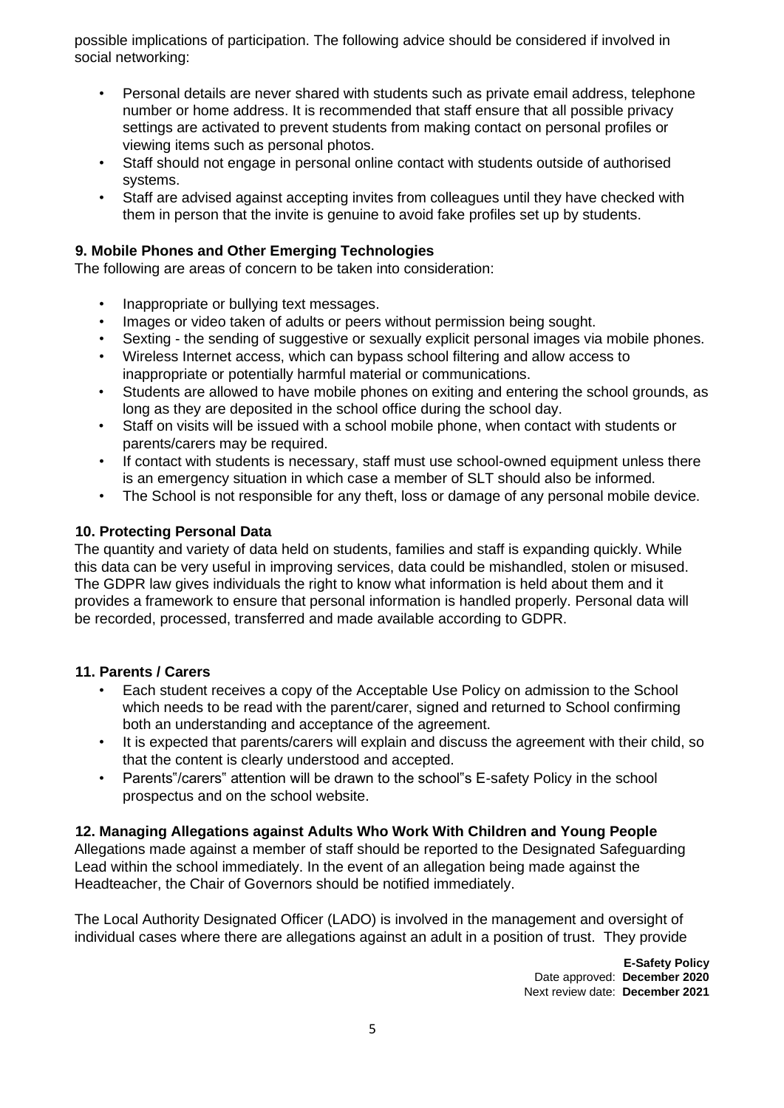possible implications of participation. The following advice should be considered if involved in social networking:

- Personal details are never shared with students such as private email address, telephone number or home address. It is recommended that staff ensure that all possible privacy settings are activated to prevent students from making contact on personal profiles or viewing items such as personal photos.
- Staff should not engage in personal online contact with students outside of authorised systems.
- Staff are advised against accepting invites from colleagues until they have checked with them in person that the invite is genuine to avoid fake profiles set up by students.

## **9. Mobile Phones and Other Emerging Technologies**

The following are areas of concern to be taken into consideration:

- Inappropriate or bullying text messages.
- Images or video taken of adults or peers without permission being sought.
- Sexting the sending of suggestive or sexually explicit personal images via mobile phones.
- Wireless Internet access, which can bypass school filtering and allow access to inappropriate or potentially harmful material or communications.
- Students are allowed to have mobile phones on exiting and entering the school grounds, as long as they are deposited in the school office during the school day.
- Staff on visits will be issued with a school mobile phone, when contact with students or parents/carers may be required.
- If contact with students is necessary, staff must use school-owned equipment unless there is an emergency situation in which case a member of SLT should also be informed.
- The School is not responsible for any theft, loss or damage of any personal mobile device.

#### **10. Protecting Personal Data**

The quantity and variety of data held on students, families and staff is expanding quickly. While this data can be very useful in improving services, data could be mishandled, stolen or misused. The GDPR law gives individuals the right to know what information is held about them and it provides a framework to ensure that personal information is handled properly. Personal data will be recorded, processed, transferred and made available according to GDPR.

#### **11. Parents / Carers**

- Each student receives a copy of the Acceptable Use Policy on admission to the School which needs to be read with the parent/carer, signed and returned to School confirming both an understanding and acceptance of the agreement.
- It is expected that parents/carers will explain and discuss the agreement with their child, so that the content is clearly understood and accepted.
- Parents"/carers" attention will be drawn to the school"s E-safety Policy in the school prospectus and on the school website.

#### **12. Managing Allegations against Adults Who Work With Children and Young People**

Allegations made against a member of staff should be reported to the Designated Safeguarding Lead within the school immediately. In the event of an allegation being made against the Headteacher, the Chair of Governors should be notified immediately.

The Local Authority Designated Officer (LADO) is involved in the management and oversight of individual cases where there are allegations against an adult in a position of trust. They provide